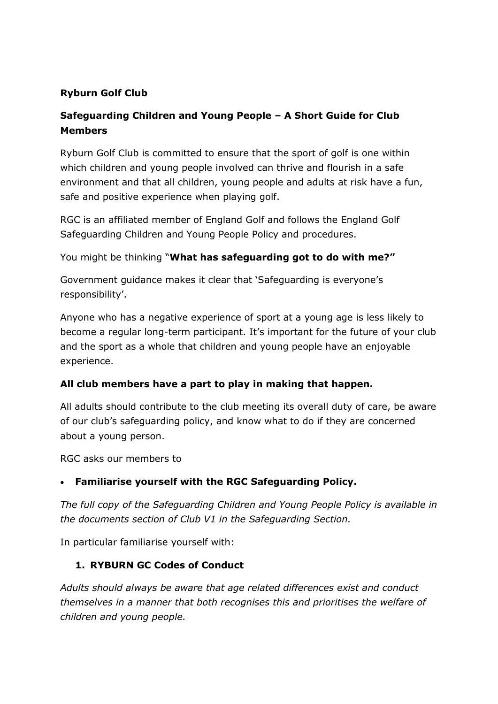## **Ryburn Golf Club**

# **Safeguarding Children and Young People – A Short Guide for Club Members**

Ryburn Golf Club is committed to ensure that the sport of golf is one within which children and young people involved can thrive and flourish in a safe environment and that all children, young people and adults at risk have a fun, safe and positive experience when playing golf.

RGC is an affiliated member of England Golf and follows the England Golf Safeguarding Children and Young People Policy and procedures.

You might be thinking "**What has safeguarding got to do with me?"**

Government guidance makes it clear that 'Safeguarding is everyone's responsibility'.

Anyone who has a negative experience of sport at a young age is less likely to become a regular long-term participant. It's important for the future of your club and the sport as a whole that children and young people have an enjoyable experience.

## **All club members have a part to play in making that happen.**

All adults should contribute to the club meeting its overall duty of care, be aware of our club's safeguarding policy, and know what to do if they are concerned about a young person.

RGC asks our members to

#### **Familiarise yourself with the RGC Safeguarding Policy.**

*The full copy of the Safeguarding Children and Young People Policy is available in the documents section of Club V1 in the Safeguarding Section.* 

In particular familiarise yourself with:

#### **1. RYBURN GC Codes of Conduct**

*Adults should always be aware that age related differences exist and conduct themselves in a manner that both recognises this and prioritises the welfare of children and young people.*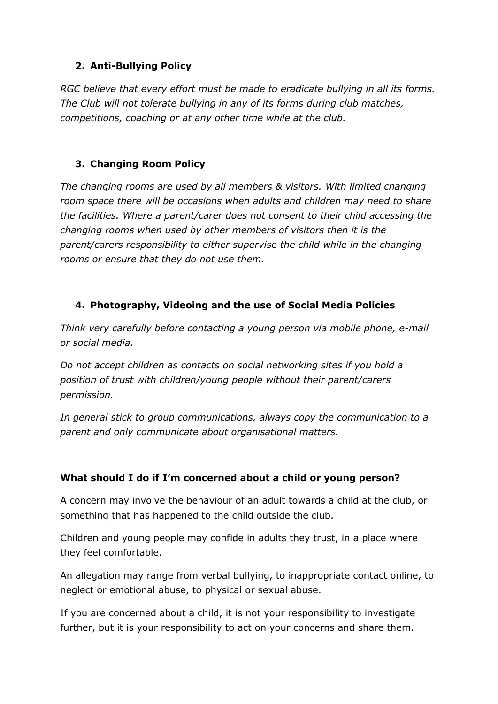## **2. Anti-Bullying Policy**

*RGC believe that every effort must be made to eradicate bullying in all its forms. The Club will not tolerate bullying in any of its forms during club matches, competitions, coaching or at any other time while at the club.*

# **3. Changing Room Policy**

*The changing rooms are used by all members & visitors. With limited changing*  room space there will be occasions when adults and children may need to share *the facilities. Where a parent/carer does not consent to their child accessing the changing rooms when used by other members of visitors then it is the parent/carers responsibility to either supervise the child while in the changing rooms or ensure that they do not use them.* 

## **4. Photography, Videoing and the use of Social Media Policies**

*Think very carefully before contacting a young person via mobile phone, e-mail or social media.* 

*Do not accept children as contacts on social networking sites if you hold a position of trust with children/young people without their parent/carers permission.*

*In general stick to group communications, always copy the communication to a parent and only communicate about organisational matters.*

## **What should I do if I'm concerned about a child or young person?**

A concern may involve the behaviour of an adult towards a child at the club, or something that has happened to the child outside the club.

Children and young people may confide in adults they trust, in a place where they feel comfortable.

An allegation may range from verbal bullying, to inappropriate contact online, to neglect or emotional abuse, to physical or sexual abuse.

If you are concerned about a child, it is not your responsibility to investigate further, but it is your responsibility to act on your concerns and share them.